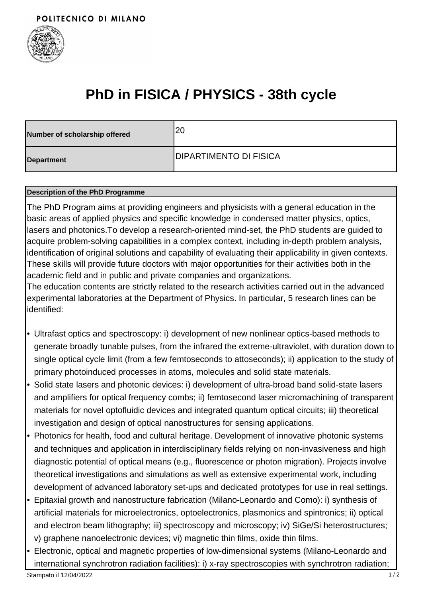

# **PhD in FISICA / PHYSICS - 38th cycle**

| Number of scholarship offered | 120                            |
|-------------------------------|--------------------------------|
| Department                    | <b>IDIPARTIMENTO DI FISICA</b> |

### **Description of the PhD Programme**

The PhD Program aims at providing engineers and physicists with a general education in the basic areas of applied physics and specific knowledge in condensed matter physics, optics, lasers and photonics.To develop a research-oriented mind-set, the PhD students are guided to acquire problem-solving capabilities in a complex context, including in-depth problem analysis, identification of original solutions and capability of evaluating their applicability in given contexts. These skills will provide future doctors with major opportunities for their activities both in the academic field and in public and private companies and organizations.

The education contents are strictly related to the research activities carried out in the advanced experimental laboratories at the Department of Physics. In particular, 5 research lines can be identified:

- Ultrafast optics and spectroscopy: i) development of new nonlinear optics-based methods to generate broadly tunable pulses, from the infrared the extreme-ultraviolet, with duration down to single optical cycle limit (from a few femtoseconds to attoseconds); ii) application to the study of primary photoinduced processes in atoms, molecules and solid state materials.
- Solid state lasers and photonic devices: i) development of ultra-broad band solid-state lasers and amplifiers for optical frequency combs; ii) femtosecond laser micromachining of transparent materials for novel optofluidic devices and integrated quantum optical circuits; iii) theoretical investigation and design of optical nanostructures for sensing applications. •
- Photonics for health, food and cultural heritage. Development of innovative photonic systems and techniques and application in interdisciplinary fields relying on non-invasiveness and high diagnostic potential of optical means (e.g., fluorescence or photon migration). Projects involve theoretical investigations and simulations as well as extensive experimental work, including development of advanced laboratory set-ups and dedicated prototypes for use in real settings.
- Epitaxial growth and nanostructure fabrication (Milano-Leonardo and Como): i) synthesis of artificial materials for microelectronics, optoelectronics, plasmonics and spintronics; ii) optical and electron beam lithography; iii) spectroscopy and microscopy; iv) SiGe/Si heterostructures; v) graphene nanoelectronic devices; vi) magnetic thin films, oxide thin films.
- Electronic, optical and magnetic properties of low-dimensional systems (Milano-Leonardo and international synchrotron radiation facilities): i) x-ray spectroscopies with synchrotron radiation; •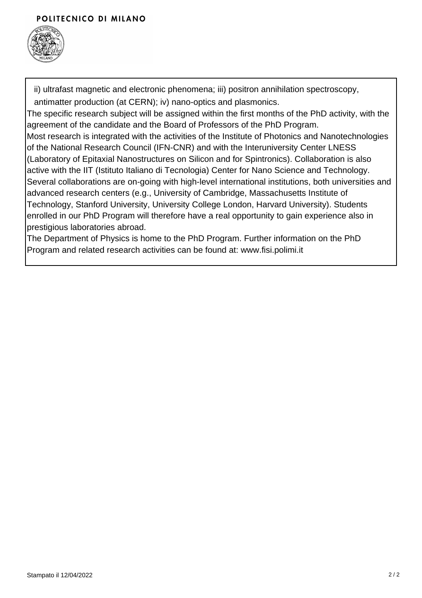# POLITECNICO DI MILANO



ii) ultrafast magnetic and electronic phenomena; iii) positron annihilation spectroscopy, antimatter production (at CERN); iv) nano-optics and plasmonics.

The specific research subject will be assigned within the first months of the PhD activity, with the agreement of the candidate and the Board of Professors of the PhD Program.

Most research is integrated with the activities of the Institute of Photonics and Nanotechnologies of the National Research Council (IFN-CNR) and with the Interuniversity Center LNESS (Laboratory of Epitaxial Nanostructures on Silicon and for Spintronics). Collaboration is also active with the IIT (Istituto Italiano di Tecnologia) Center for Nano Science and Technology. Several collaborations are on-going with high-level international institutions, both universities and advanced research centers (e.g., University of Cambridge, Massachusetts Institute of Technology, Stanford University, University College London, Harvard University). Students enrolled in our PhD Program will therefore have a real opportunity to gain experience also in prestigious laboratories abroad.

The Department of Physics is home to the PhD Program. Further information on the PhD Program and related research activities can be found at: www.fisi.polimi.it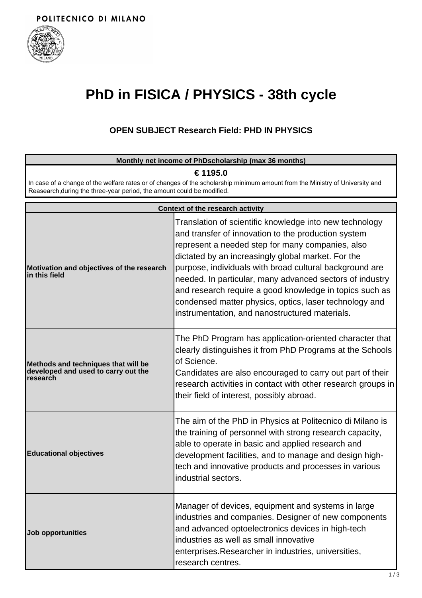

# **PhD in FISICA / PHYSICS - 38th cycle**

# **OPEN SUBJECT Research Field: PHD IN PHYSICS**

|                                                                                                                                                                                                        | Monthly net income of PhDscholarship (max 36 months)                                                                                                                                                                                                                                                                                                                                                                                                                                                                   |
|--------------------------------------------------------------------------------------------------------------------------------------------------------------------------------------------------------|------------------------------------------------------------------------------------------------------------------------------------------------------------------------------------------------------------------------------------------------------------------------------------------------------------------------------------------------------------------------------------------------------------------------------------------------------------------------------------------------------------------------|
| € 1195.0                                                                                                                                                                                               |                                                                                                                                                                                                                                                                                                                                                                                                                                                                                                                        |
| In case of a change of the welfare rates or of changes of the scholarship minimum amount from the Ministry of University and<br>Reasearch, during the three-year period, the amount could be modified. |                                                                                                                                                                                                                                                                                                                                                                                                                                                                                                                        |
|                                                                                                                                                                                                        | Context of the research activity                                                                                                                                                                                                                                                                                                                                                                                                                                                                                       |
| Motivation and objectives of the research<br>in this field                                                                                                                                             | Translation of scientific knowledge into new technology<br>and transfer of innovation to the production system<br>represent a needed step for many companies, also<br>dictated by an increasingly global market. For the<br>purpose, individuals with broad cultural background are<br>needed. In particular, many advanced sectors of industry<br>and research require a good knowledge in topics such as<br>condensed matter physics, optics, laser technology and<br>instrumentation, and nanostructured materials. |
| Methods and techniques that will be<br>developed and used to carry out the<br>research                                                                                                                 | The PhD Program has application-oriented character that<br>clearly distinguishes it from PhD Programs at the Schools<br>of Science.<br>Candidates are also encouraged to carry out part of their<br>research activities in contact with other research groups in<br>their field of interest, possibly abroad.                                                                                                                                                                                                          |
| <b>Educational objectives</b>                                                                                                                                                                          | The aim of the PhD in Physics at Politecnico di Milano is<br>the training of personnel with strong research capacity,<br>able to operate in basic and applied research and<br>development facilities, and to manage and design high-<br>tech and innovative products and processes in various<br>industrial sectors.                                                                                                                                                                                                   |
| Job opportunities                                                                                                                                                                                      | Manager of devices, equipment and systems in large<br>industries and companies. Designer of new components<br>and advanced optoelectronics devices in high-tech<br>industries as well as small innovative<br>enterprises. Researcher in industries, universities,<br>research centres.                                                                                                                                                                                                                                 |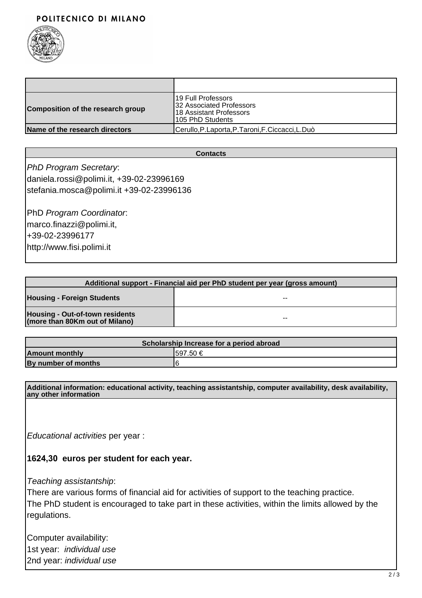# POLITECNICO DI MILANO



| Composition of the research group | 19 Full Professors<br><b>132 Associated Professors</b><br>I18 Assistant Professors<br>105 PhD Students |
|-----------------------------------|--------------------------------------------------------------------------------------------------------|
| Name of the research directors    | Cerullo, P. Laporta, P. Taroni, F. Ciccacci, L. Duò                                                    |

#### **Contacts**

PhD Program Secretary: daniela.rossi@polimi.it, +39-02-23996169 stefania.mosca@polimi.it +39-02-23996136

PhD Program Coordinator: marco.finazzi@polimi.it, +39-02-23996177 http://www.fisi.polimi.it

| Additional support - Financial aid per PhD student per year (gross amount) |    |
|----------------------------------------------------------------------------|----|
| <b>Housing - Foreign Students</b>                                          | -- |
| Housing - Out-of-town residents<br>(more than 80Km out of Milano)          | -- |

| Scholarship Increase for a period abroad |           |  |
|------------------------------------------|-----------|--|
| <b>Amount monthly</b>                    | 1597.50 € |  |
| By number of months                      | 16        |  |

**Additional information: educational activity, teaching assistantship, computer availability, desk availability, any other information**

Educational activities per year :

## **1624,30 euros per student for each year.**

Teaching assistantship:

There are various forms of financial aid for activities of support to the teaching practice. The PhD student is encouraged to take part in these activities, within the limits allowed by the regulations.

Computer availability: 1st year: individual use 2nd year: individual use